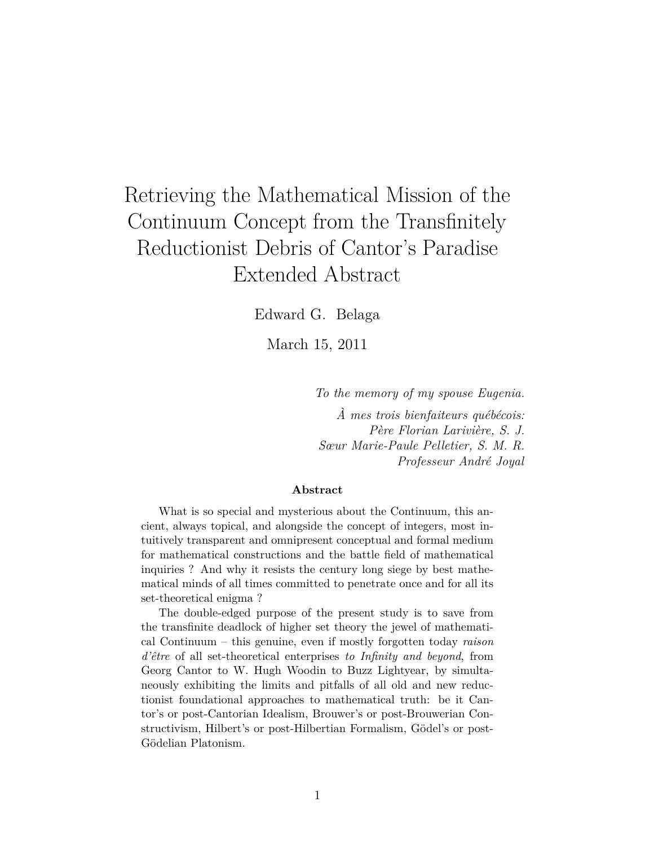# Retrieving the Mathematical Mission of the Continuum Concept from the Transfinitely Reductionist Debris of Cantor's Paradise Extended Abstract

Edward G. Belaga

March 15, 2011

*To the memory of my spouse Eugenia. À mes trois bienfaiteurs québécois: Père Florian Larivière, S. J. Sœur Marie-Paule Pelletier, S. M. R. Professeur André Joyal*

#### **Abstract**

What is so special and mysterious about the Continuum, this ancient, always topical, and alongside the concept of integers, most intuitively transparent and omnipresent conceptual and formal medium for mathematical constructions and the battle field of mathematical inquiries ? And why it resists the century long siege by best mathematical minds of all times committed to penetrate once and for all its set-theoretical enigma ?

The double-edged purpose of the present study is to save from the transfinite deadlock of higher set theory the jewel of mathematical Continuum – this genuine, even if mostly forgotten today *raison d'être* of all set-theoretical enterprises *to Infinity and beyond*, from Georg Cantor to W. Hugh Woodin to Buzz Lightyear, by simultaneously exhibiting the limits and pitfalls of all old and new reductionist foundational approaches to mathematical truth: be it Cantor's or post-Cantorian Idealism, Brouwer's or post-Brouwerian Constructivism, Hilbert's or post-Hilbertian Formalism, Gödel's or post-Gödelian Platonism.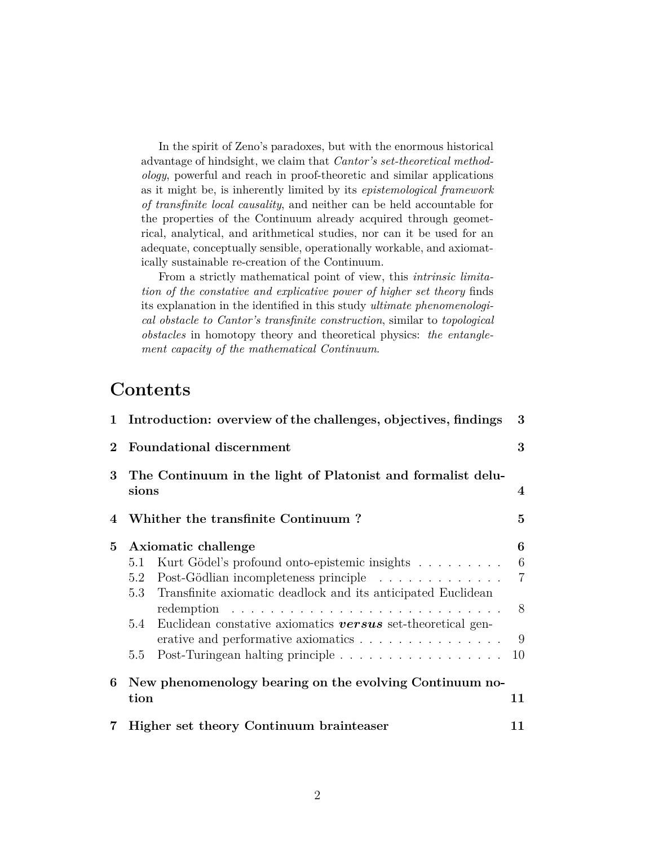In the spirit of Zeno's paradoxes, but with the enormous historical advantage of hindsight, we claim that *Cantor's set-theoretical methodology*, powerful and reach in proof-theoretic and similar applications as it might be, is inherently limited by its *epistemological framework of transfinite local causality*, and neither can be held accountable for the properties of the Continuum already acquired through geometrical, analytical, and arithmetical studies, nor can it be used for an adequate, conceptually sensible, operationally workable, and axiomatically sustainable re-creation of the Continuum.

From a strictly mathematical point of view, this *intrinsic limitation of the constative and explicative power of higher set theory* finds its explanation in the identified in this study *ultimate phenomenological obstacle to Cantor's transfinite construction*, similar to *topological obstacles* in homotopy theory and theoretical physics: *the entanglement capacity of the mathematical Continuum*.

### **Contents**

| $\mathbf{1}$ | Introduction: overview of the challenges, objectives, findings                                                                                                                                                                                                                                                                                                                                                                                                                                         | 3                                        |
|--------------|--------------------------------------------------------------------------------------------------------------------------------------------------------------------------------------------------------------------------------------------------------------------------------------------------------------------------------------------------------------------------------------------------------------------------------------------------------------------------------------------------------|------------------------------------------|
| $\mathbf 2$  | <b>Foundational discernment</b>                                                                                                                                                                                                                                                                                                                                                                                                                                                                        | 3                                        |
| $\bf{3}$     | The Continuum in the light of Platonist and formalist delu-<br>sions                                                                                                                                                                                                                                                                                                                                                                                                                                   | $\boldsymbol{4}$                         |
| 4            | Whither the transfinite Continuum?                                                                                                                                                                                                                                                                                                                                                                                                                                                                     | $\overline{5}$                           |
| $5^{\circ}$  | Axiomatic challenge<br>Kurt Gödel's profound onto-epistemic insights<br>5.1<br>Post-Gödlian incompleteness principle<br>5.2<br>Transfinite axiomatic deadlock and its anticipated Euclidean<br>5.3<br>redemption $\ldots \ldots \ldots \ldots \ldots \ldots \ldots \ldots \ldots \ldots$<br>$5.4^{\circ}$<br>Euclidean constative axiomatics <b>versus</b> set-theoretical gen-<br>erative and performative axiomatics<br>Post-Turingean halting principle $\ldots \ldots \ldots \ldots \ldots$<br>5.5 | 6<br>6<br>$\overline{7}$<br>8<br>9<br>10 |
| 6            | New phenomenology bearing on the evolving Continuum no-<br>tion                                                                                                                                                                                                                                                                                                                                                                                                                                        | 11                                       |
|              | Higher set theory Continuum brainteaser                                                                                                                                                                                                                                                                                                                                                                                                                                                                | 11                                       |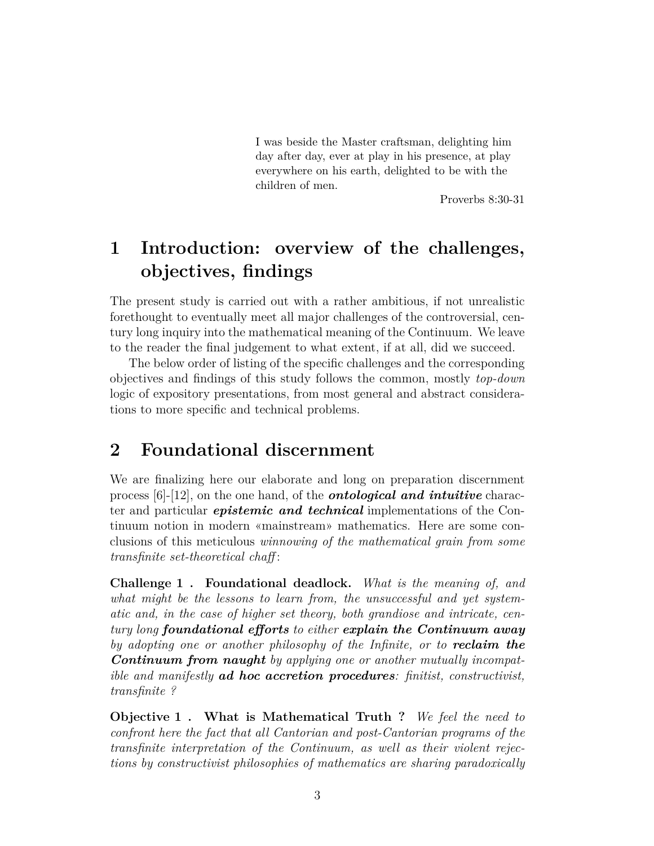I was beside the Master craftsman, delighting him day after day, ever at play in his presence, at play everywhere on his earth, delighted to be with the children of men.

Proverbs 8:30-31

## **1 Introduction: overview of the challenges, objectives, findings**

The present study is carried out with a rather ambitious, if not unrealistic forethought to eventually meet all major challenges of the controversial, century long inquiry into the mathematical meaning of the Continuum. We leave to the reader the final judgement to what extent, if at all, did we succeed.

The below order of listing of the specific challenges and the corresponding objectives and findings of this study follows the common, mostly *top-down* logic of expository presentations, from most general and abstract considerations to more specific and technical problems.

### **2 Foundational discernment**

We are finalizing here our elaborate and long on preparation discernment process [6]-[12], on the one hand, of the *ontological and intuitive* character and particular *epistemic and technical* implementations of the Continuum notion in modern «mainstream» mathematics. Here are some conclusions of this meticulous *winnowing of the mathematical grain from some transfinite set-theoretical chaff* :

**Challenge 1 . Foundational deadlock.** *What is the meaning of, and what might be the lessons to learn from, the unsuccessful and yet systematic and, in the case of higher set theory, both grandiose and intricate, century long foundational efforts to either explain the Continuum away by adopting one or another philosophy of the Infinite, or to reclaim the Continuum from naught by applying one or another mutually incompatible and manifestly ad hoc accretion procedures: finitist, constructivist, transfinite ?*

**Objective 1 . What is Mathematical Truth ?** *We feel the need to confront here the fact that all Cantorian and post-Cantorian programs of the transfinite interpretation of the Continuum, as well as their violent rejections by constructivist philosophies of mathematics are sharing paradoxically*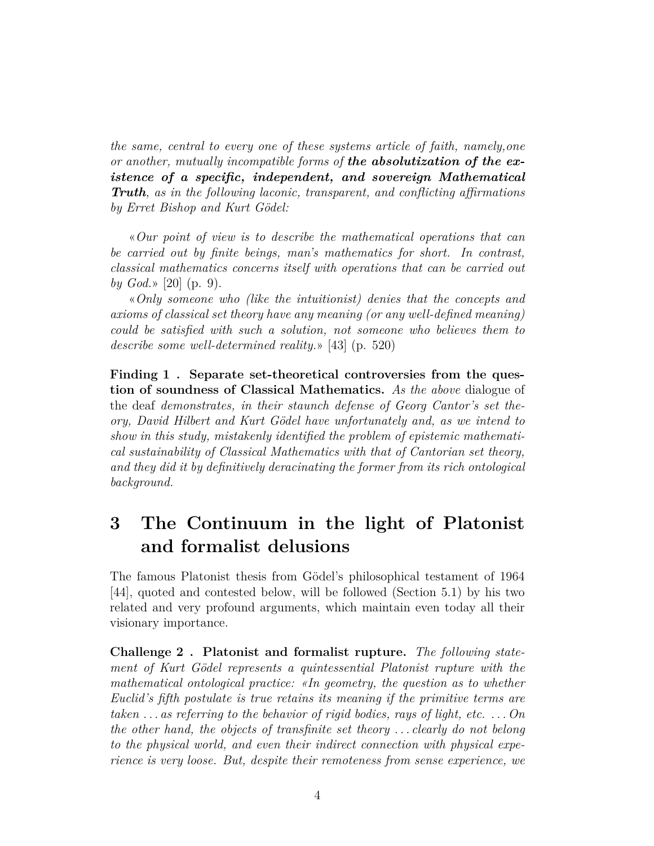*the same, central to every one of these systems article of faith, namely,one or another, mutually incompatible forms of the absolutization of the existence of a specific, independent, and sovereign Mathematical Truth, as in the following laconic, transparent, and conflicting affirmations by Erret Bishop and Kurt Gödel:*

«*Our point of view is to describe the mathematical operations that can be carried out by finite beings, man's mathematics for short. In contrast, classical mathematics concerns itself with operations that can be carried out by God.*» [20] (p. 9).

«*Only someone who (like the intuitionist) denies that the concepts and axioms of classical set theory have any meaning (or any well-defined meaning) could be satisfied with such a solution, not someone who believes them to describe some well-determined reality.*» [43] (p. 520)

**Finding 1 . Separate set-theoretical controversies from the question of soundness of Classical Mathematics.** *As the above* dialogue of the deaf *demonstrates, in their staunch defense of Georg Cantor's set theory, David Hilbert and Kurt Gödel have unfortunately and, as we intend to show in this study, mistakenly identified the problem of epistemic mathematical sustainability of Classical Mathematics with that of Cantorian set theory, and they did it by definitively deracinating the former from its rich ontological background.*

### **3 The Continuum in the light of Platonist and formalist delusions**

The famous Platonist thesis from Gödel's philosophical testament of 1964 [44], quoted and contested below, will be followed (Section 5.1) by his two related and very profound arguments, which maintain even today all their visionary importance.

**Challenge 2 . Platonist and formalist rupture.** *The following statement of Kurt Gödel represents a quintessential Platonist rupture with the mathematical ontological practice: «In geometry, the question as to whether Euclid's fifth postulate is true retains its meaning if the primitive terms are taken . . . as referring to the behavior of rigid bodies, rays of light, etc. . . . On the other hand, the objects of transfinite set theory . . . clearly do not belong to the physical world, and even their indirect connection with physical experience is very loose. But, despite their remoteness from sense experience, we*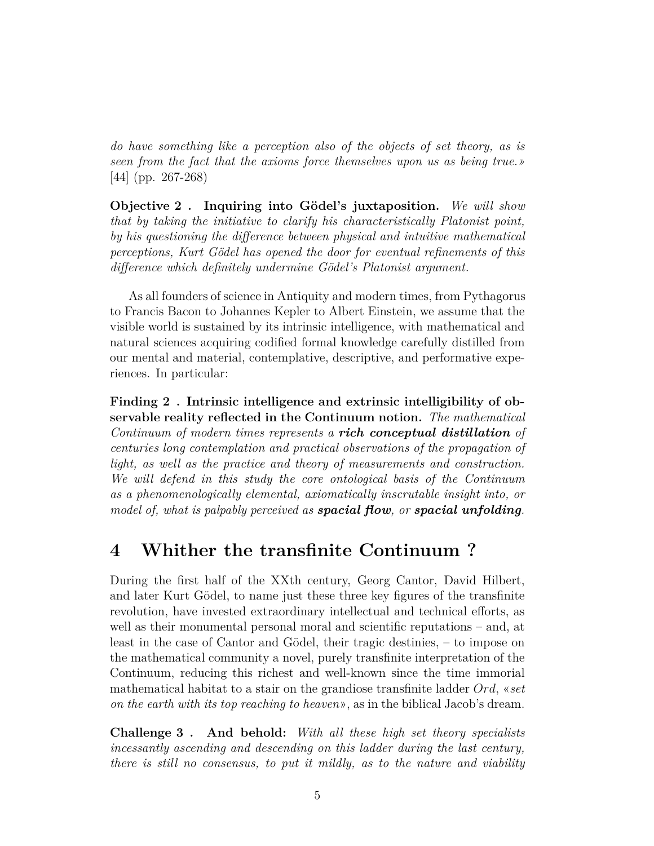*do have something like a perception also of the objects of set theory, as is seen from the fact that the axioms force themselves upon us as being true.»* [44] (pp. 267-268)

**Objective 2 . Inquiring into Gödel's juxtaposition.** *We will show that by taking the initiative to clarify his characteristically Platonist point, by his questioning the difference between physical and intuitive mathematical perceptions, Kurt Gödel has opened the door for eventual refinements of this difference which definitely undermine Gödel's Platonist argument.*

As all founders of science in Antiquity and modern times, from Pythagorus to Francis Bacon to Johannes Kepler to Albert Einstein, we assume that the visible world is sustained by its intrinsic intelligence, with mathematical and natural sciences acquiring codified formal knowledge carefully distilled from our mental and material, contemplative, descriptive, and performative experiences. In particular:

**Finding 2 . Intrinsic intelligence and extrinsic intelligibility of observable reality reflected in the Continuum notion.** *The mathematical Continuum of modern times represents a rich conceptual distillation of centuries long contemplation and practical observations of the propagation of light, as well as the practice and theory of measurements and construction. We will defend in this study the core ontological basis of the Continuum as a phenomenologically elemental, axiomatically inscrutable insight into, or model of, what is palpably perceived as spacial flow, or spacial unfolding.*

### **4 Whither the transfinite Continuum ?**

During the first half of the XXth century, Georg Cantor, David Hilbert, and later Kurt Gödel, to name just these three key figures of the transfinite revolution, have invested extraordinary intellectual and technical efforts, as well as their monumental personal moral and scientific reputations – and, at least in the case of Cantor and Gödel, their tragic destinies, – to impose on the mathematical community a novel, purely transfinite interpretation of the Continuum, reducing this richest and well-known since the time immorial mathematical habitat to a stair on the grandiose transfinite ladder *Ord,* «*set on the earth with its top reaching to heaven*», as in the biblical Jacob's dream.

**Challenge 3 . And behold:** *With all these high set theory specialists incessantly ascending and descending on this ladder during the last century, there is still no consensus, to put it mildly, as to the nature and viability*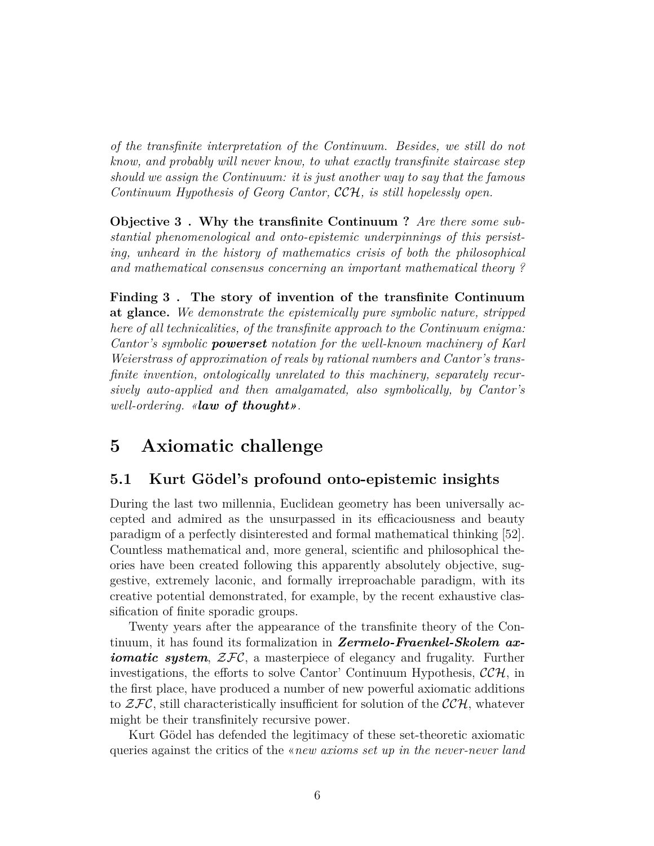*of the transfinite interpretation of the Continuum. Besides, we still do not know, and probably will never know, to what exactly transfinite staircase step should we assign the Continuum: it is just another way to say that the famous Continuum Hypothesis of Georg Cantor,* CCH*, is still hopelessly open.*

**Objective 3 . Why the transfinite Continuum ?** *Are there some substantial phenomenological and onto-epistemic underpinnings of this persisting, unheard in the history of mathematics crisis of both the philosophical and mathematical consensus concerning an important mathematical theory ?*

**Finding 3 . The story of invention of the transfinite Continuum at glance.** *We demonstrate the epistemically pure symbolic nature, stripped here of all technicalities, of the transfinite approach to the Continuum enigma: Cantor's symbolic powerset notation for the well-known machinery of Karl Weierstrass of approximation of reals by rational numbers and Cantor's transfinite invention, ontologically unrelated to this machinery, separately recursively auto-applied and then amalgamated, also symbolically, by Cantor's well-ordering. «law of thought».*

### **5 Axiomatic challenge**

#### **5.1 Kurt Gödel's profound onto-epistemic insights**

During the last two millennia, Euclidean geometry has been universally accepted and admired as the unsurpassed in its efficaciousness and beauty paradigm of a perfectly disinterested and formal mathematical thinking [52]. Countless mathematical and, more general, scientific and philosophical theories have been created following this apparently absolutely objective, suggestive, extremely laconic, and formally irreproachable paradigm, with its creative potential demonstrated, for example, by the recent exhaustive classification of finite sporadic groups.

Twenty years after the appearance of the transfinite theory of the Continuum, it has found its formalization in *Zermelo-Fraenkel-Skolem axiomatic system,*  $\mathcal{ZFC}$ *, a masterpiece of elegancy and frugality.* Further investigations, the efforts to solve Cantor' Continuum Hypothesis,  $\mathcal{CCH}$ , in the first place, have produced a number of new powerful axiomatic additions to  $\mathcal{ZFC}$ , still characteristically insufficient for solution of the  $\mathcal{CCH}$ , whatever might be their transfinitely recursive power.

Kurt Gödel has defended the legitimacy of these set-theoretic axiomatic queries against the critics of the «*new axioms set up in the never-never land*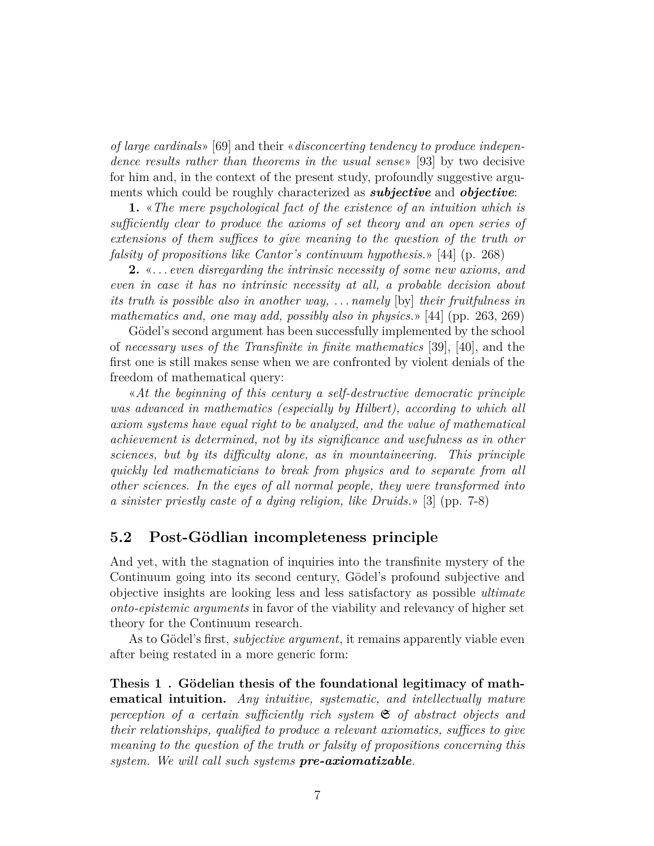*of large cardinals*» [69] and their «*disconcerting tendency to produce independence results rather than theorems in the usual sense*» [93] by two decisive for him and, in the context of the present study, profoundly suggestive arguments which could be roughly characterized as *subjective* and *objective*:

**1.** «*The mere psychological fact of the existence of an intuition which is sufficiently clear to produce the axioms of set theory and an open series of extensions of them suffices to give meaning to the question of the truth or falsity of propositions like Cantor's continuum hypothesis.*» [44] (p. 268)

**2.** «*. . . even disregarding the intrinsic necessity of some new axioms, and even in case it has no intrinsic necessity at all, a probable decision about its truth is possible also in another way, . . . namely* [by] *their fruitfulness in mathematics and, one may add, possibly also in physics.*» [44] (pp. 263, 269)

Gödel's second argument has been successfully implemented by the school of *necessary uses of the Transfinite in finite mathematics* [39], [40], and the first one is still makes sense when we are confronted by violent denials of the freedom of mathematical query:

«*At the beginning of this century a self-destructive democratic principle was advanced in mathematics (especially by Hilbert), according to which all axiom systems have equal right to be analyzed, and the value of mathematical achievement is determined, not by its significance and usefulness as in other sciences, but by its difficulty alone, as in mountaineering. This principle quickly led mathematicians to break from physics and to separate from all other sciences. In the eyes of all normal people, they were transformed into a sinister priestly caste of a dying religion, like Druids.*» [3] (pp. 7-8)

#### **5.2 Post-Gödlian incompleteness principle**

And yet, with the stagnation of inquiries into the transfinite mystery of the Continuum going into its second century, Gödel's profound subjective and objective insights are looking less and less satisfactory as possible *ultimate onto-epistemic arguments* in favor of the viability and relevancy of higher set theory for the Continuum research.

As to Gödel's first, *subjective argument*, it remains apparently viable even after being restated in a more generic form:

**Thesis 1 . Gödelian thesis of the foundational legitimacy of mathematical intuition.** *Any intuitive, systematic, and intellectually mature perception of a certain sufficiently rich system* S *of abstract objects and their relationships, qualified to produce a relevant axiomatics, suffices to give meaning to the question of the truth or falsity of propositions concerning this system. We will call such systems pre-axiomatizable.*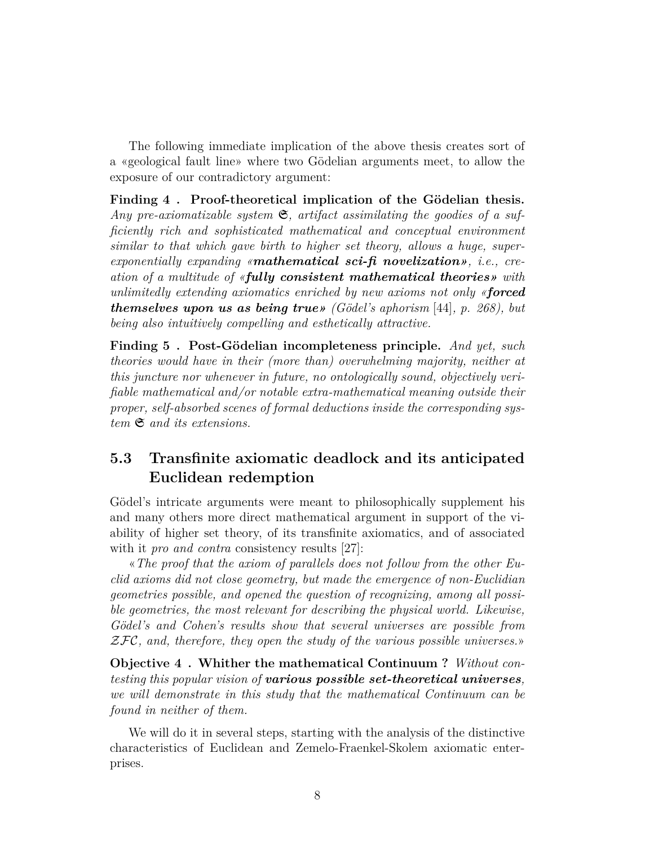The following immediate implication of the above thesis creates sort of a «geological fault line» where two Gödelian arguments meet, to allow the exposure of our contradictory argument:

**Finding 4 . Proof-theoretical implication of the Gödelian thesis.** *Any pre-axiomatizable system* S*, artifact assimilating the goodies of a sufficiently rich and sophisticated mathematical and conceptual environment similar to that which gave birth to higher set theory, allows a huge, superexponentially expanding «mathematical sci-fi novelization», i.e., creation of a multitude of «fully consistent mathematical theories» with unlimitedly extending axiomatics enriched by new axioms not only «forced themselves upon us as being true» (Gödel's aphorism* [44]*, p. 268), but being also intuitively compelling and esthetically attractive.*

**Finding 5 . Post-Gödelian incompleteness principle.** *And yet, such theories would have in their (more than) overwhelming majority, neither at this juncture nor whenever in future, no ontologically sound, objectively verifiable mathematical and/or notable extra-mathematical meaning outside their proper, self-absorbed scenes of formal deductions inside the corresponding system* S *and its extensions.*

### **5.3 Transfinite axiomatic deadlock and its anticipated Euclidean redemption**

Gödel's intricate arguments were meant to philosophically supplement his and many others more direct mathematical argument in support of the viability of higher set theory, of its transfinite axiomatics, and of associated with it *pro and contra* consistency results [27]:

«*The proof that the axiom of parallels does not follow from the other Euclid axioms did not close geometry, but made the emergence of non-Euclidian geometries possible, and opened the question of recognizing, among all possible geometries, the most relevant for describing the physical world. Likewise, Gödel's and Cohen's results show that several universes are possible from* ZFC*, and, therefore, they open the study of the various possible universes.*»

**Objective 4 . Whither the mathematical Continuum ?** *Without contesting this popular vision of various possible set-theoretical universes, we will demonstrate in this study that the mathematical Continuum can be found in neither of them.*

We will do it in several steps, starting with the analysis of the distinctive characteristics of Euclidean and Zemelo-Fraenkel-Skolem axiomatic enterprises.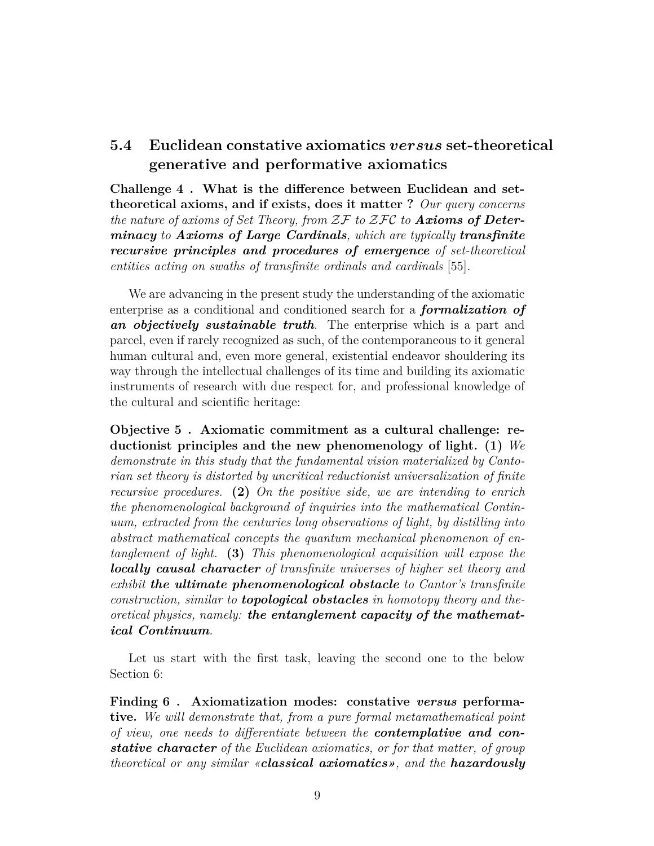### **5.4 Euclidean constative axiomatics** versus **set-theoretical generative and performative axiomatics**

**Challenge 4 . What is the difference between Euclidean and settheoretical axioms, and if exists, does it matter ?** *Our query concerns the nature of axioms of Set Theory, from* ZF *to* ZFC *to Axioms of Determinacy to Axioms of Large Cardinals, which are typically transfinite recursive principles and procedures of emergence of set-theoretical entities acting on swaths of transfinite ordinals and cardinals* [55]*.*

We are advancing in the present study the understanding of the axiomatic enterprise as a conditional and conditioned search for a *formalization of an objectively sustainable truth*. The enterprise which is a part and parcel, even if rarely recognized as such, of the contemporaneous to it general human cultural and, even more general, existential endeavor shouldering its way through the intellectual challenges of its time and building its axiomatic instruments of research with due respect for, and professional knowledge of the cultural and scientific heritage:

**Objective 5 . Axiomatic commitment as a cultural challenge: reductionist principles and the new phenomenology of light. (1)** *We demonstrate in this study that the fundamental vision materialized by Cantorian set theory is distorted by uncritical reductionist universalization of finite recursive procedures.* **(2)** *On the positive side, we are intending to enrich the phenomenological background of inquiries into the mathematical Continuum, extracted from the centuries long observations of light, by distilling into abstract mathematical concepts the quantum mechanical phenomenon of entanglement of light.* **(3)** *This phenomenological acquisition will expose the locally causal character of transfinite universes of higher set theory and exhibit the ultimate phenomenological obstacle to Cantor's transfinite construction, similar to topological obstacles in homotopy theory and theoretical physics, namely: the entanglement capacity of the mathematical Continuum.*

Let us start with the first task, leaving the second one to the below Section 6:

**Finding 6 . Axiomatization modes: constative** *versus* **performative.** *We will demonstrate that, from a pure formal metamathematical point of view, one needs to differentiate between the contemplative and constative character of the Euclidean axiomatics, or for that matter, of group theoretical or any similar «classical axiomatics», and the hazardously*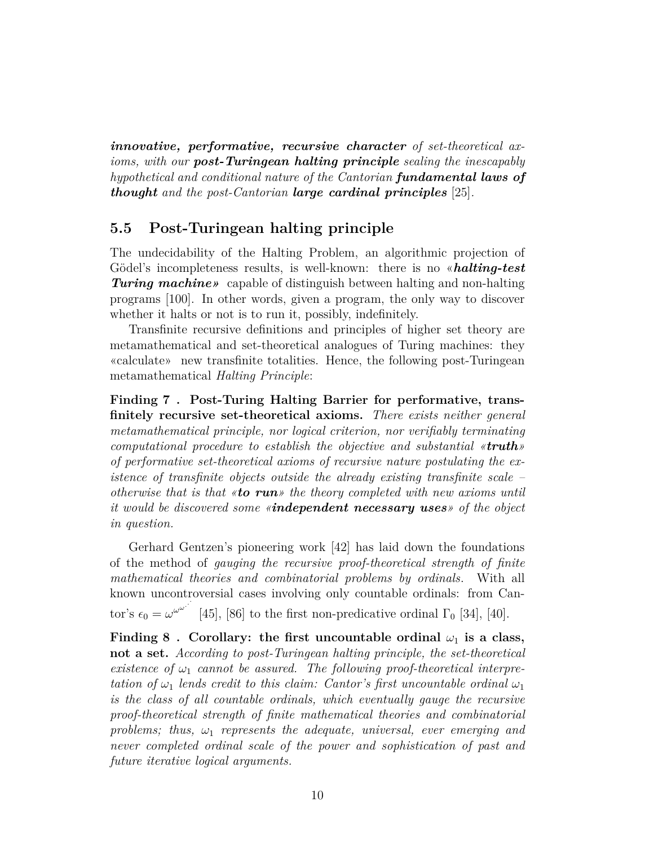*innovative, performative, recursive character of set-theoretical axioms, with our post-Turingean halting principle sealing the inescapably hypothetical and conditional nature of the Cantorian fundamental laws of thought and the post-Cantorian large cardinal principles* [25]*.*

#### **5.5 Post-Turingean halting principle**

The undecidability of the Halting Problem, an algorithmic projection of Gödel's incompleteness results, is well-known: there is no «*halting-test Turing machine»* capable of distinguish between halting and non-halting programs [100]. In other words, given a program, the only way to discover whether it halts or not is to run it, possibly, indefinitely.

Transfinite recursive definitions and principles of higher set theory are metamathematical and set-theoretical analogues of Turing machines: they «calculate» new transfinite totalities. Hence, the following post-Turingean metamathematical *Halting Principle*:

**Finding 7 . Post-Turing Halting Barrier for performative, transfinitely recursive set-theoretical axioms.** *There exists neither general metamathematical principle, nor logical criterion, nor verifiably terminating computational procedure to establish the objective and substantial «truth» of performative set-theoretical axioms of recursive nature postulating the existence of transfinite objects outside the already existing transfinite scale – otherwise that is that «to run» the theory completed with new axioms until it would be discovered some «independent necessary uses» of the object in question.*

Gerhard Gentzen's pioneering work [42] has laid down the foundations of the method of *gauging the recursive proof-theoretical strength of finite mathematical theories and combinatorial problems by ordinals*. With all known uncontroversial cases involving only countable ordinals: from Can-*.* tor's  $\epsilon_0 = \omega^{\omega^{\omega}}$  [45], [86] to the first non-predicative ordinal  $\Gamma_0$  [34], [40].

**Finding 8**. Corollary: the first uncountable ordinal  $\omega_1$  is a class, **not a set.** *According to post-Turingean halting principle, the set-theoretical existence of*  $\omega_1$  *cannot be assured. The following proof-theoretical interpretation of*  $\omega_1$  *lends credit to this claim: Cantor's first uncountable ordinal*  $\omega_1$ *is the class of all countable ordinals, which eventually gauge the recursive proof-theoretical strength of finite mathematical theories and combinatorial problems; thus, ω*<sup>1</sup> *represents the adequate, universal, ever emerging and never completed ordinal scale of the power and sophistication of past and future iterative logical arguments.*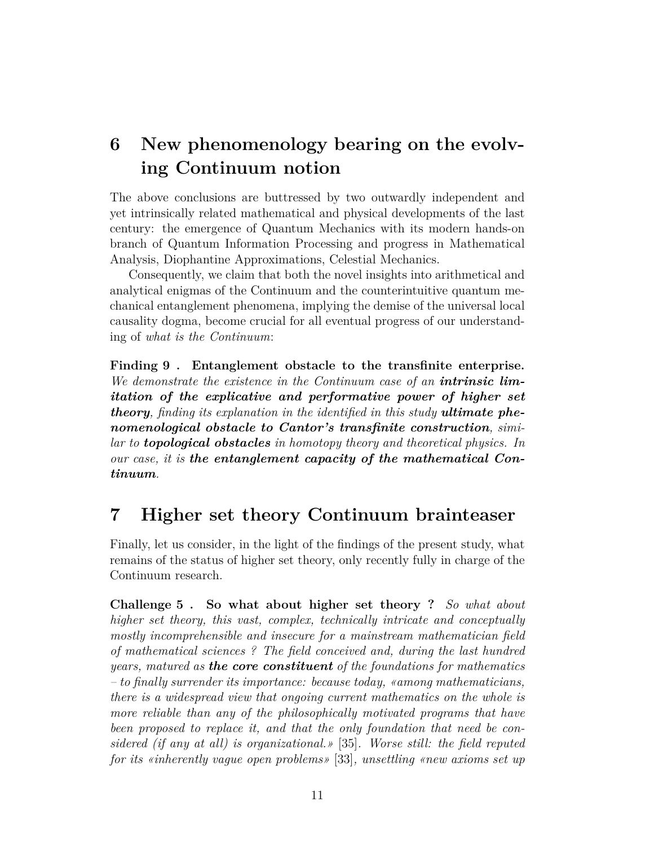### **6 New phenomenology bearing on the evolving Continuum notion**

The above conclusions are buttressed by two outwardly independent and yet intrinsically related mathematical and physical developments of the last century: the emergence of Quantum Mechanics with its modern hands-on branch of Quantum Information Processing and progress in Mathematical Analysis, Diophantine Approximations, Celestial Mechanics.

Consequently, we claim that both the novel insights into arithmetical and analytical enigmas of the Continuum and the counterintuitive quantum mechanical entanglement phenomena, implying the demise of the universal local causality dogma, become crucial for all eventual progress of our understanding of *what is the Continuum*:

**Finding 9 . Entanglement obstacle to the transfinite enterprise.** *We demonstrate the existence in the Continuum case of an intrinsic limitation of the explicative and performative power of higher set theory, finding its explanation in the identified in this study ultimate phenomenological obstacle to Cantor's transfinite construction, similar to topological obstacles in homotopy theory and theoretical physics. In our case, it is the entanglement capacity of the mathematical Continuum.*

### **7 Higher set theory Continuum brainteaser**

Finally, let us consider, in the light of the findings of the present study, what remains of the status of higher set theory, only recently fully in charge of the Continuum research.

**Challenge 5 . So what about higher set theory ?** *So what about higher set theory, this vast, complex, technically intricate and conceptually mostly incomprehensible and insecure for a mainstream mathematician field of mathematical sciences ? The field conceived and, during the last hundred years, matured as the core constituent of the foundations for mathematics – to finally surrender its importance: because today, «among mathematicians, there is a widespread view that ongoing current mathematics on the whole is more reliable than any of the philosophically motivated programs that have been proposed to replace it, and that the only foundation that need be considered (if any at all) is organizational.»* [35]*. Worse still: the field reputed for its «inherently vague open problems»* [33]*, unsettling «new axioms set up*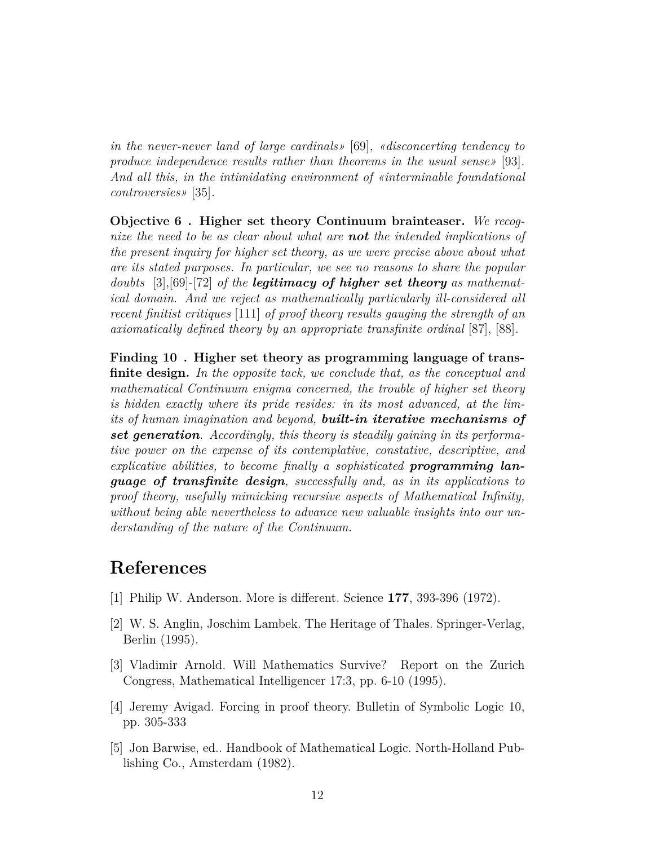*in the never-never land of large cardinals»* [69]*, «disconcerting tendency to produce independence results rather than theorems in the usual sense»* [93]*. And all this, in the intimidating environment of «interminable foundational controversies»* [35]*.*

**Objective 6 . Higher set theory Continuum brainteaser.** *We recognize the need to be as clear about what are not the intended implications of the present inquiry for higher set theory, as we were precise above about what are its stated purposes. In particular, we see no reasons to share the popular doubts* [3],[69]-[72] *of the legitimacy of higher set theory as mathematical domain. And we reject as mathematically particularly ill-considered all recent finitist critiques* [111] *of proof theory results gauging the strength of an axiomatically defined theory by an appropriate transfinite ordinal* [87], [88]*.*

**Finding 10 . Higher set theory as programming language of transfinite design.** *In the opposite tack, we conclude that, as the conceptual and mathematical Continuum enigma concerned, the trouble of higher set theory is hidden exactly where its pride resides: in its most advanced, at the limits of human imagination and beyond, built-in iterative mechanisms of set generation. Accordingly, this theory is steadily gaining in its performative power on the expense of its contemplative, constative, descriptive, and explicative abilities, to become finally a sophisticated programming language of transfinite design, successfully and, as in its applications to proof theory, usefully mimicking recursive aspects of Mathematical Infinity, without being able nevertheless to advance new valuable insights into our understanding of the nature of the Continuum.*

### **References**

- [1] Philip W. Anderson. More is different. Science **177**, 393-396 (1972).
- [2] W. S. Anglin, Joschim Lambek. The Heritage of Thales. Springer-Verlag, Berlin (1995).
- [3] Vladimir Arnold. Will Mathematics Survive? Report on the Zurich Congress, Mathematical Intelligencer 17:3, pp. 6-10 (1995).
- [4] Jeremy Avigad. Forcing in proof theory. Bulletin of Symbolic Logic 10, pp. 305-333
- [5] Jon Barwise, ed.. Handbook of Mathematical Logic. North-Holland Publishing Co., Amsterdam (1982).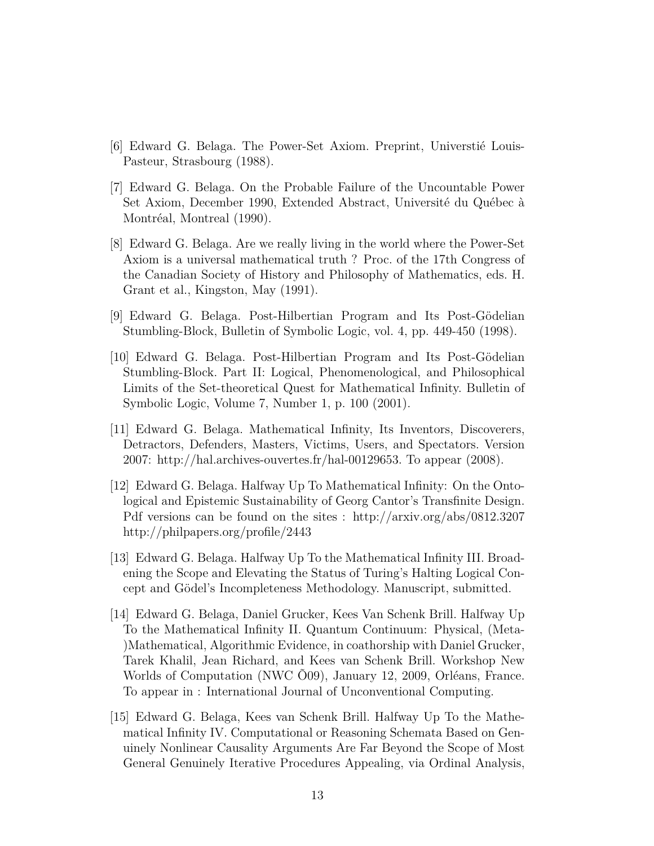- [6] Edward G. Belaga. The Power-Set Axiom. Preprint, Universtié Louis-Pasteur, Strasbourg (1988).
- [7] Edward G. Belaga. On the Probable Failure of the Uncountable Power Set Axiom, December 1990, Extended Abstract, Université du Québec à Montréal, Montreal (1990).
- [8] Edward G. Belaga. Are we really living in the world where the Power-Set Axiom is a universal mathematical truth ? Proc. of the 17th Congress of the Canadian Society of History and Philosophy of Mathematics, eds. H. Grant et al., Kingston, May (1991).
- [9] Edward G. Belaga. Post-Hilbertian Program and Its Post-Gödelian Stumbling-Block, Bulletin of Symbolic Logic, vol. 4, pp. 449-450 (1998).
- [10] Edward G. Belaga. Post-Hilbertian Program and Its Post-Gödelian Stumbling-Block. Part II: Logical, Phenomenological, and Philosophical Limits of the Set-theoretical Quest for Mathematical Infinity. Bulletin of Symbolic Logic, Volume 7, Number 1, p. 100 (2001).
- [11] Edward G. Belaga. Mathematical Infinity, Its Inventors, Discoverers, Detractors, Defenders, Masters, Victims, Users, and Spectators. Version 2007: http://hal.archives-ouvertes.fr/hal-00129653. To appear (2008).
- [12] Edward G. Belaga. Halfway Up To Mathematical Infinity: On the Ontological and Epistemic Sustainability of Georg Cantor's Transfinite Design. Pdf versions can be found on the sites : http://arxiv.org/abs/0812.3207 http://philpapers.org/profile/2443
- [13] Edward G. Belaga. Halfway Up To the Mathematical Infinity III. Broadening the Scope and Elevating the Status of Turing's Halting Logical Concept and Gödel's Incompleteness Methodology. Manuscript, submitted.
- [14] Edward G. Belaga, Daniel Grucker, Kees Van Schenk Brill. Halfway Up To the Mathematical Infinity II. Quantum Continuum: Physical, (Meta- )Mathematical, Algorithmic Evidence, in coathorship with Daniel Grucker, Tarek Khalil, Jean Richard, and Kees van Schenk Brill. Workshop New Worlds of Computation (NWC Õ09), January 12, 2009, Orléans, France. To appear in : International Journal of Unconventional Computing.
- [15] Edward G. Belaga, Kees van Schenk Brill. Halfway Up To the Mathematical Infinity IV. Computational or Reasoning Schemata Based on Genuinely Nonlinear Causality Arguments Are Far Beyond the Scope of Most General Genuinely Iterative Procedures Appealing, via Ordinal Analysis,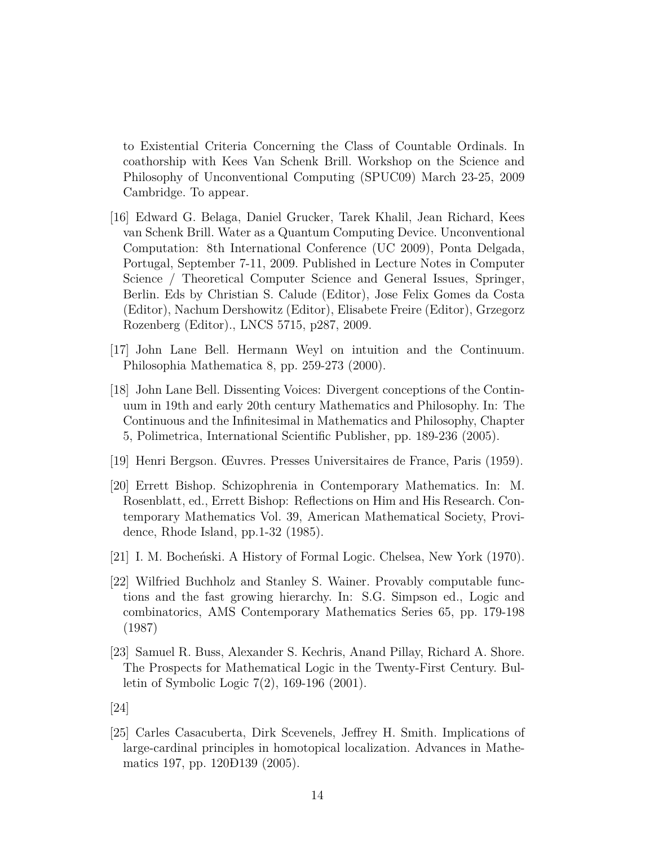to Existential Criteria Concerning the Class of Countable Ordinals. In coathorship with Kees Van Schenk Brill. Workshop on the Science and Philosophy of Unconventional Computing (SPUC09) March 23-25, 2009 Cambridge. To appear.

- [16] Edward G. Belaga, Daniel Grucker, Tarek Khalil, Jean Richard, Kees van Schenk Brill. Water as a Quantum Computing Device. Unconventional Computation: 8th International Conference (UC 2009), Ponta Delgada, Portugal, September 7-11, 2009. Published in Lecture Notes in Computer Science / Theoretical Computer Science and General Issues, Springer, Berlin. Eds by Christian S. Calude (Editor), Jose Felix Gomes da Costa (Editor), Nachum Dershowitz (Editor), Elisabete Freire (Editor), Grzegorz Rozenberg (Editor)., LNCS 5715, p287, 2009.
- [17] John Lane Bell. Hermann Weyl on intuition and the Continuum. Philosophia Mathematica 8, pp. 259-273 (2000).
- [18] John Lane Bell. Dissenting Voices: Divergent conceptions of the Continuum in 19th and early 20th century Mathematics and Philosophy. In: The Continuous and the Infinitesimal in Mathematics and Philosophy, Chapter 5, Polimetrica, International Scientific Publisher, pp. 189-236 (2005).
- [19] Henri Bergson. Œuvres. Presses Universitaires de France, Paris (1959).
- [20] Errett Bishop. Schizophrenia in Contemporary Mathematics. In: M. Rosenblatt, ed., Errett Bishop: Reflections on Him and His Research. Contemporary Mathematics Vol. 39, American Mathematical Society, Providence, Rhode Island, pp.1-32 (1985).
- [21] I. M. Bocheński. A History of Formal Logic. Chelsea, New York (1970).
- [22] Wilfried Buchholz and Stanley S. Wainer. Provably computable functions and the fast growing hierarchy. In: S.G. Simpson ed., Logic and combinatorics, AMS Contemporary Mathematics Series 65, pp. 179-198 (1987)
- [23] Samuel R. Buss, Alexander S. Kechris, Anand Pillay, Richard A. Shore. The Prospects for Mathematical Logic in the Twenty-First Century. Bulletin of Symbolic Logic 7(2), 169-196 (2001).
- [24]
- [25] Carles Casacuberta, Dirk Scevenels, Jeffrey H. Smith. Implications of large-cardinal principles in homotopical localization. Advances in Mathematics 197, pp. 120Ð139 (2005).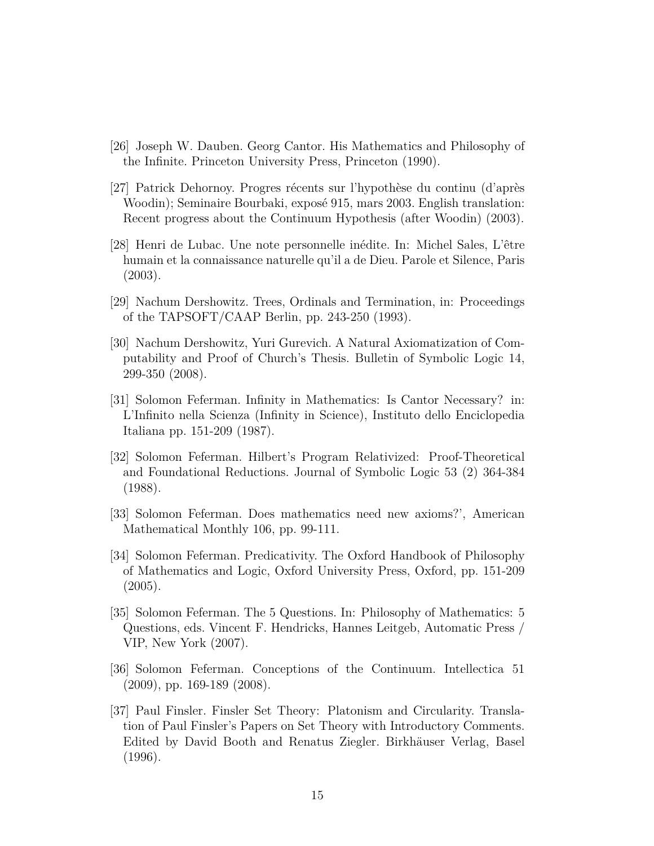- [26] Joseph W. Dauben. Georg Cantor. His Mathematics and Philosophy of the Infinite. Princeton University Press, Princeton (1990).
- [27] Patrick Dehornoy. Progres récents sur l'hypothèse du continu (d'après Woodin); Seminaire Bourbaki, exposé 915, mars 2003. English translation: Recent progress about the Continuum Hypothesis (after Woodin) (2003).
- [28] Henri de Lubac. Une note personnelle inédite. In: Michel Sales, L'être humain et la connaissance naturelle qu'il a de Dieu. Parole et Silence, Paris (2003).
- [29] Nachum Dershowitz. Trees, Ordinals and Termination, in: Proceedings of the TAPSOFT/CAAP Berlin, pp. 243-250 (1993).
- [30] Nachum Dershowitz, Yuri Gurevich. A Natural Axiomatization of Computability and Proof of Church's Thesis. Bulletin of Symbolic Logic 14, 299-350 (2008).
- [31] Solomon Feferman. Infinity in Mathematics: Is Cantor Necessary? in: L'Infinito nella Scienza (Infinity in Science), Instituto dello Enciclopedia Italiana pp. 151-209 (1987).
- [32] Solomon Feferman. Hilbert's Program Relativized: Proof-Theoretical and Foundational Reductions. Journal of Symbolic Logic 53 (2) 364-384 (1988).
- [33] Solomon Feferman. Does mathematics need new axioms?', American Mathematical Monthly 106, pp. 99-111.
- [34] Solomon Feferman. Predicativity. The Oxford Handbook of Philosophy of Mathematics and Logic, Oxford University Press, Oxford, pp. 151-209 (2005).
- [35] Solomon Feferman. The 5 Questions. In: Philosophy of Mathematics: 5 Questions, eds. Vincent F. Hendricks, Hannes Leitgeb, Automatic Press / VIP, New York (2007).
- [36] Solomon Feferman. Conceptions of the Continuum. Intellectica 51 (2009), pp. 169-189 (2008).
- [37] Paul Finsler. Finsler Set Theory: Platonism and Circularity. Translation of Paul Finsler's Papers on Set Theory with Introductory Comments. Edited by David Booth and Renatus Ziegler. Birkhäuser Verlag, Basel (1996).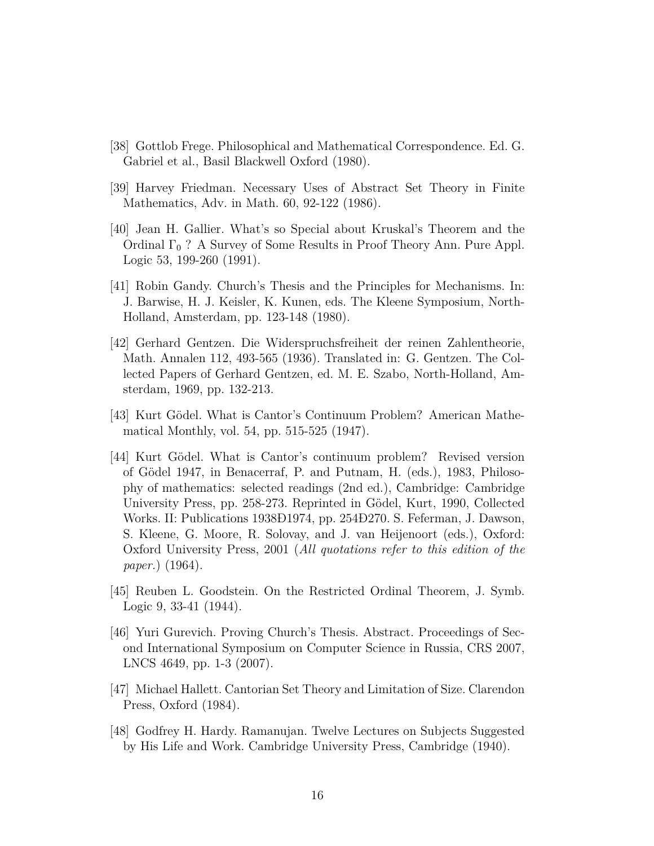- [38] Gottlob Frege. Philosophical and Mathematical Correspondence. Ed. G. Gabriel et al., Basil Blackwell Oxford (1980).
- [39] Harvey Friedman. Necessary Uses of Abstract Set Theory in Finite Mathematics, Adv. in Math. 60, 92-122 (1986).
- [40] Jean H. Gallier. What's so Special about Kruskal's Theorem and the Ordinal  $\Gamma_0$  ? A Survey of Some Results in Proof Theory Ann. Pure Appl. Logic 53, 199-260 (1991).
- [41] Robin Gandy. Church's Thesis and the Principles for Mechanisms. In: J. Barwise, H. J. Keisler, K. Kunen, eds. The Kleene Symposium, North-Holland, Amsterdam, pp. 123-148 (1980).
- [42] Gerhard Gentzen. Die Widerspruchsfreiheit der reinen Zahlentheorie, Math. Annalen 112, 493-565 (1936). Translated in: G. Gentzen. The Collected Papers of Gerhard Gentzen, ed. M. E. Szabo, North-Holland, Amsterdam, 1969, pp. 132-213.
- [43] Kurt Gödel. What is Cantor's Continuum Problem? American Mathematical Monthly, vol. 54, pp. 515-525 (1947).
- [44] Kurt Gödel. What is Cantor's continuum problem? Revised version of Gödel 1947, in Benacerraf, P. and Putnam, H. (eds.), 1983, Philosophy of mathematics: selected readings (2nd ed.), Cambridge: Cambridge University Press, pp. 258-273. Reprinted in Gödel, Kurt, 1990, Collected Works. II: Publications 1938Ð1974, pp. 254Ð270. S. Feferman, J. Dawson, S. Kleene, G. Moore, R. Solovay, and J. van Heijenoort (eds.), Oxford: Oxford University Press, 2001 (*All quotations refer to this edition of the paper.*) (1964).
- [45] Reuben L. Goodstein. On the Restricted Ordinal Theorem, J. Symb. Logic 9, 33-41 (1944).
- [46] Yuri Gurevich. Proving Church's Thesis. Abstract. Proceedings of Second International Symposium on Computer Science in Russia, CRS 2007, LNCS 4649, pp. 1-3 (2007).
- [47] Michael Hallett. Cantorian Set Theory and Limitation of Size. Clarendon Press, Oxford (1984).
- [48] Godfrey H. Hardy. Ramanujan. Twelve Lectures on Subjects Suggested by His Life and Work. Cambridge University Press, Cambridge (1940).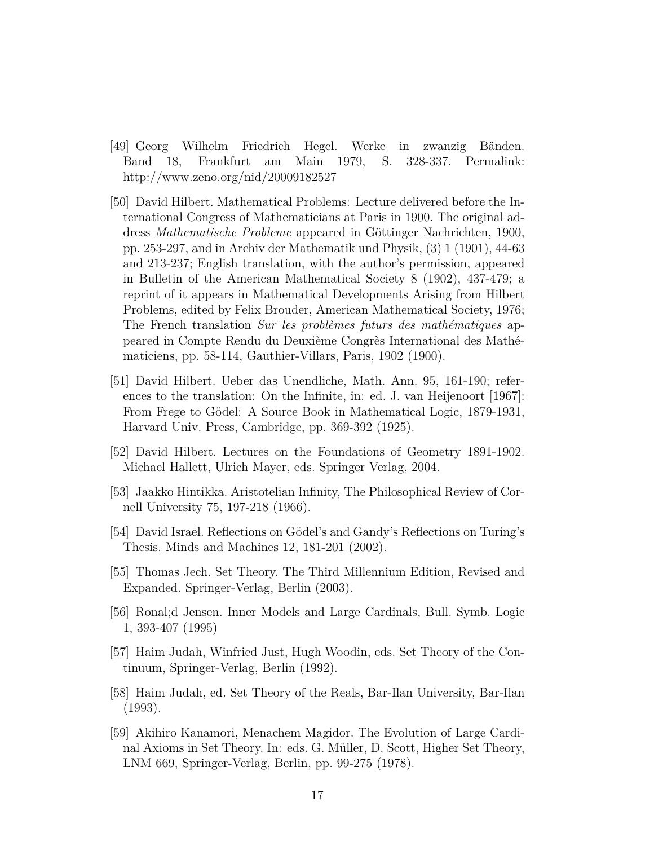- [49] Georg Wilhelm Friedrich Hegel. Werke in zwanzig Bänden. Band 18, Frankfurt am Main 1979, S. 328-337. Permalink: http://www.zeno.org/nid/20009182527
- [50] David Hilbert. Mathematical Problems: Lecture delivered before the International Congress of Mathematicians at Paris in 1900. The original address *Mathematische Probleme* appeared in Göttinger Nachrichten, 1900, pp. 253-297, and in Archiv der Mathematik und Physik, (3) 1 (1901), 44-63 and 213-237; English translation, with the author's permission, appeared in Bulletin of the American Mathematical Society 8 (1902), 437-479; a reprint of it appears in Mathematical Developments Arising from Hilbert Problems, edited by Felix Brouder, American Mathematical Society, 1976; The French translation *Sur les problèmes futurs des mathématiques* appeared in Compte Rendu du Deuxième Congrès International des Mathématiciens, pp. 58-114, Gauthier-Villars, Paris, 1902 (1900).
- [51] David Hilbert. Ueber das Unendliche, Math. Ann. 95, 161-190; references to the translation: On the Infinite, in: ed. J. van Heijenoort [1967]: From Frege to Gödel: A Source Book in Mathematical Logic, 1879-1931, Harvard Univ. Press, Cambridge, pp. 369-392 (1925).
- [52] David Hilbert. Lectures on the Foundations of Geometry 1891-1902. Michael Hallett, Ulrich Mayer, eds. Springer Verlag, 2004.
- [53] Jaakko Hintikka. Aristotelian Infinity, The Philosophical Review of Cornell University 75, 197-218 (1966).
- [54] David Israel. Reflections on Gödel's and Gandy's Reflections on Turing's Thesis. Minds and Machines 12, 181-201 (2002).
- [55] Thomas Jech. Set Theory. The Third Millennium Edition, Revised and Expanded. Springer-Verlag, Berlin (2003).
- [56] Ronal;d Jensen. Inner Models and Large Cardinals, Bull. Symb. Logic 1, 393-407 (1995)
- [57] Haim Judah, Winfried Just, Hugh Woodin, eds. Set Theory of the Continuum, Springer-Verlag, Berlin (1992).
- [58] Haim Judah, ed. Set Theory of the Reals, Bar-Ilan University, Bar-Ilan (1993).
- [59] Akihiro Kanamori, Menachem Magidor. The Evolution of Large Cardinal Axioms in Set Theory. In: eds. G. Müller, D. Scott, Higher Set Theory, LNM 669, Springer-Verlag, Berlin, pp. 99-275 (1978).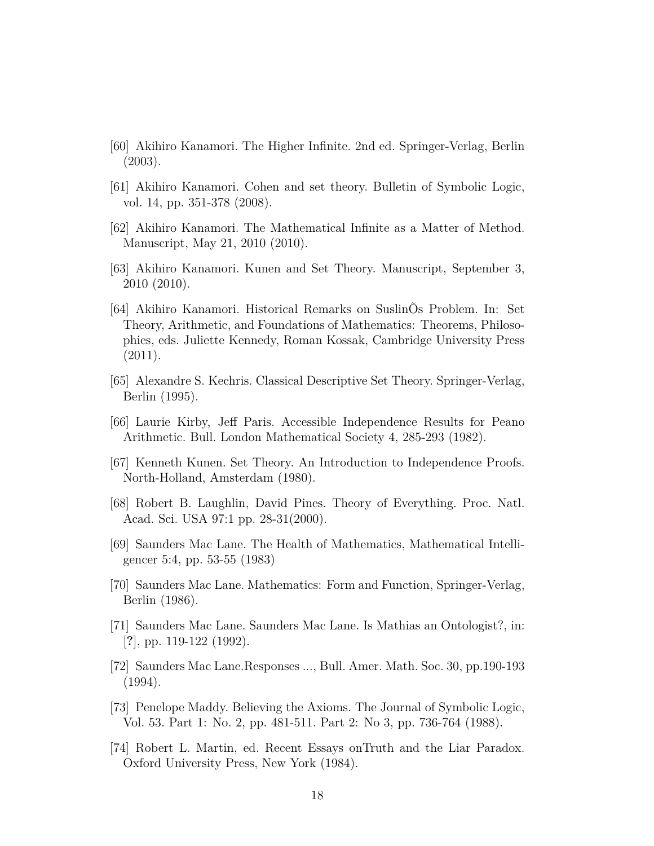- [60] Akihiro Kanamori. The Higher Infinite. 2nd ed. Springer-Verlag, Berlin (2003).
- [61] Akihiro Kanamori. Cohen and set theory. Bulletin of Symbolic Logic, vol. 14, pp. 351-378 (2008).
- [62] Akihiro Kanamori. The Mathematical Infinite as a Matter of Method. Manuscript, May 21, 2010 (2010).
- [63] Akihiro Kanamori. Kunen and Set Theory. Manuscript, September 3, 2010 (2010).
- [64] Akihiro Kanamori. Historical Remarks on SuslinÕs Problem. In: Set Theory, Arithmetic, and Foundations of Mathematics: Theorems, Philosophies, eds. Juliette Kennedy, Roman Kossak, Cambridge University Press (2011).
- [65] Alexandre S. Kechris. Classical Descriptive Set Theory. Springer-Verlag, Berlin (1995).
- [66] Laurie Kirby, Jeff Paris. Accessible Independence Results for Peano Arithmetic. Bull. London Mathematical Society 4, 285-293 (1982).
- [67] Kenneth Kunen. Set Theory. An Introduction to Independence Proofs. North-Holland, Amsterdam (1980).
- [68] Robert B. Laughlin, David Pines. Theory of Everything. Proc. Natl. Acad. Sci. USA 97:1 pp. 28-31(2000).
- [69] Saunders Mac Lane. The Health of Mathematics, Mathematical Intelligencer 5:4, pp. 53-55 (1983)
- [70] Saunders Mac Lane. Mathematics: Form and Function, Springer-Verlag, Berlin (1986).
- [71] Saunders Mac Lane. Saunders Mac Lane. Is Mathias an Ontologist?, in: [**?**], pp. 119-122 (1992).
- [72] Saunders Mac Lane.Responses ..., Bull. Amer. Math. Soc. 30, pp.190-193 (1994).
- [73] Penelope Maddy. Believing the Axioms. The Journal of Symbolic Logic, Vol. 53. Part 1: No. 2, pp. 481-511. Part 2: No 3, pp. 736-764 (1988).
- [74] Robert L. Martin, ed. Recent Essays onTruth and the Liar Paradox. Oxford University Press, New York (1984).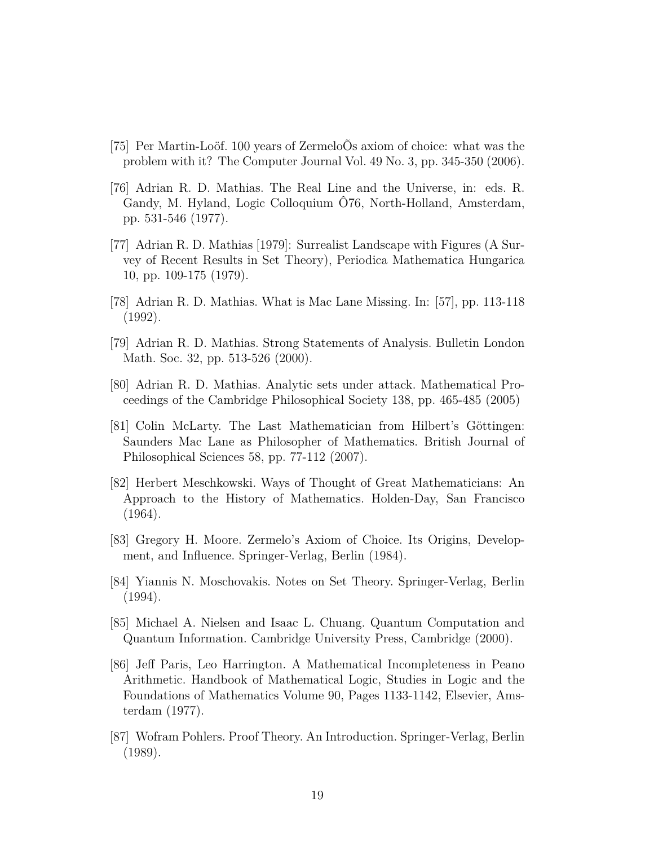- [75] Per Martin-Loöf. 100 years of ZermeloÕs axiom of choice: what was the problem with it? The Computer Journal Vol. 49 No. 3, pp. 345-350 (2006).
- [76] Adrian R. D. Mathias. The Real Line and the Universe, in: eds. R. Gandy, M. Hyland, Logic Colloquium Ô76, North-Holland, Amsterdam, pp. 531-546 (1977).
- [77] Adrian R. D. Mathias [1979]: Surrealist Landscape with Figures (A Survey of Recent Results in Set Theory), Periodica Mathematica Hungarica 10, pp. 109-175 (1979).
- [78] Adrian R. D. Mathias. What is Mac Lane Missing. In: [57], pp. 113-118 (1992).
- [79] Adrian R. D. Mathias. Strong Statements of Analysis. Bulletin London Math. Soc. 32, pp. 513-526 (2000).
- [80] Adrian R. D. Mathias. Analytic sets under attack. Mathematical Proceedings of the Cambridge Philosophical Society 138, pp. 465-485 (2005)
- [81] Colin McLarty. The Last Mathematician from Hilbert's Göttingen: Saunders Mac Lane as Philosopher of Mathematics. British Journal of Philosophical Sciences 58, pp. 77-112 (2007).
- [82] Herbert Meschkowski. Ways of Thought of Great Mathematicians: An Approach to the History of Mathematics. Holden-Day, San Francisco (1964).
- [83] Gregory H. Moore. Zermelo's Axiom of Choice. Its Origins, Development, and Influence. Springer-Verlag, Berlin (1984).
- [84] Yiannis N. Moschovakis. Notes on Set Theory. Springer-Verlag, Berlin (1994).
- [85] Michael A. Nielsen and Isaac L. Chuang. Quantum Computation and Quantum Information. Cambridge University Press, Cambridge (2000).
- [86] Jeff Paris, Leo Harrington. A Mathematical Incompleteness in Peano Arithmetic. Handbook of Mathematical Logic, Studies in Logic and the Foundations of Mathematics Volume 90, Pages 1133-1142, Elsevier, Amsterdam (1977).
- [87] Wofram Pohlers. Proof Theory. An Introduction. Springer-Verlag, Berlin (1989).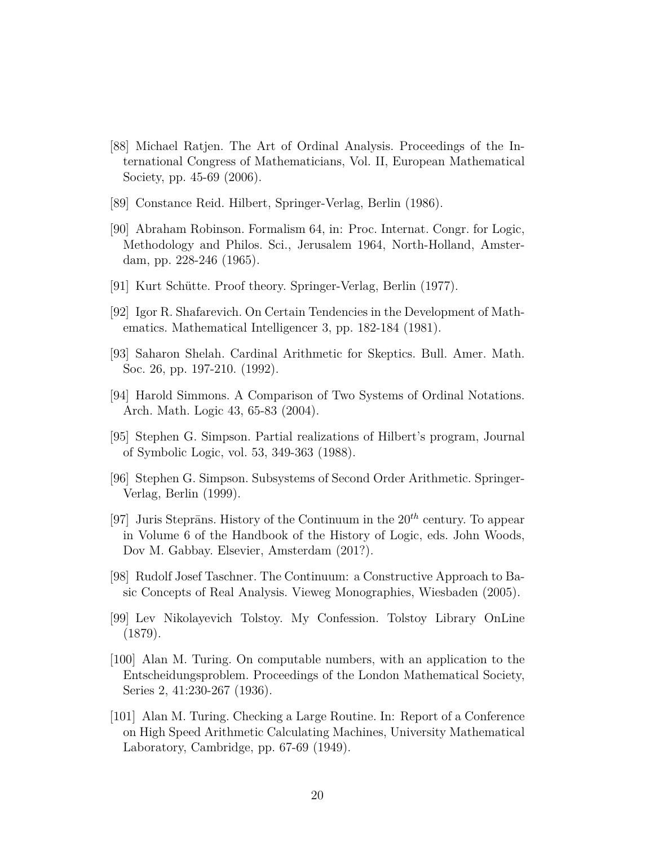- [88] Michael Ratjen. The Art of Ordinal Analysis. Proceedings of the International Congress of Mathematicians, Vol. II, European Mathematical Society, pp. 45-69 (2006).
- [89] Constance Reid. Hilbert, Springer-Verlag, Berlin (1986).
- [90] Abraham Robinson. Formalism 64, in: Proc. Internat. Congr. for Logic, Methodology and Philos. Sci., Jerusalem 1964, North-Holland, Amsterdam, pp. 228-246 (1965).
- [91] Kurt Schütte. Proof theory. Springer-Verlag, Berlin (1977).
- [92] Igor R. Shafarevich. On Certain Tendencies in the Development of Mathematics. Mathematical Intelligencer 3, pp. 182-184 (1981).
- [93] Saharon Shelah. Cardinal Arithmetic for Skeptics. Bull. Amer. Math. Soc. 26, pp. 197-210. (1992).
- [94] Harold Simmons. A Comparison of Two Systems of Ordinal Notations. Arch. Math. Logic 43, 65-83 (2004).
- [95] Stephen G. Simpson. Partial realizations of Hilbert's program, Journal of Symbolic Logic, vol. 53, 349-363 (1988).
- [96] Stephen G. Simpson. Subsystems of Second Order Arithmetic. Springer-Verlag, Berlin (1999).
- [97] Juris Steprāns. History of the Continuum in the  $20^{th}$  century. To appear in Volume 6 of the Handbook of the History of Logic, eds. John Woods, Dov M. Gabbay. Elsevier, Amsterdam (201?).
- [98] Rudolf Josef Taschner. The Continuum: a Constructive Approach to Basic Concepts of Real Analysis. Vieweg Monographies, Wiesbaden (2005).
- [99] Lev Nikolayevich Tolstoy. My Confession. Tolstoy Library OnLine (1879).
- [100] Alan M. Turing. On computable numbers, with an application to the Entscheidungsproblem. Proceedings of the London Mathematical Society, Series 2, 41:230-267 (1936).
- [101] Alan M. Turing. Checking a Large Routine. In: Report of a Conference on High Speed Arithmetic Calculating Machines, University Mathematical Laboratory, Cambridge, pp. 67-69 (1949).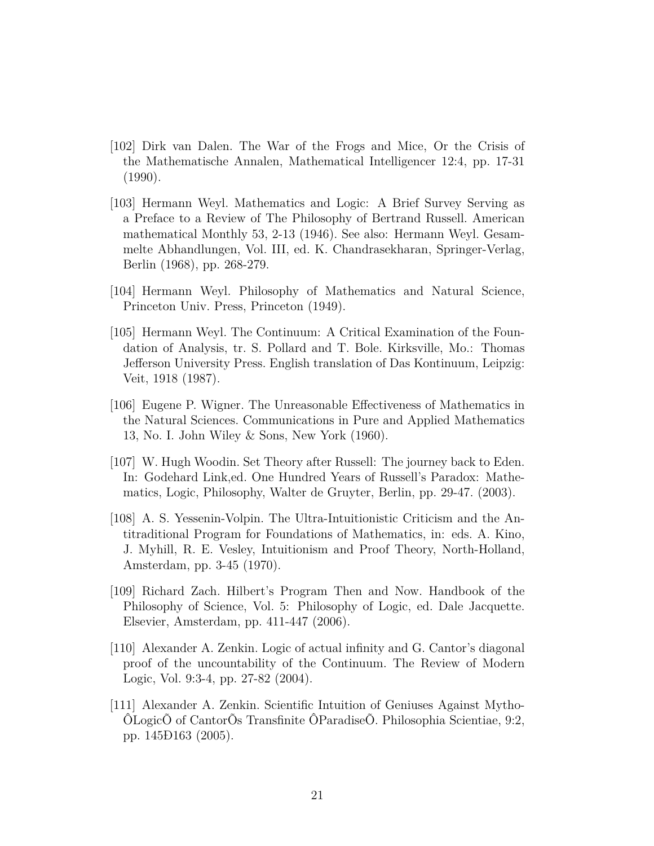- [102] Dirk van Dalen. The War of the Frogs and Mice, Or the Crisis of the Mathematische Annalen, Mathematical Intelligencer 12:4, pp. 17-31 (1990).
- [103] Hermann Weyl. Mathematics and Logic: A Brief Survey Serving as a Preface to a Review of The Philosophy of Bertrand Russell. American mathematical Monthly 53, 2-13 (1946). See also: Hermann Weyl. Gesammelte Abhandlungen, Vol. III, ed. K. Chandrasekharan, Springer-Verlag, Berlin (1968), pp. 268-279.
- [104] Hermann Weyl. Philosophy of Mathematics and Natural Science, Princeton Univ. Press, Princeton (1949).
- [105] Hermann Weyl. The Continuum: A Critical Examination of the Foundation of Analysis, tr. S. Pollard and T. Bole. Kirksville, Mo.: Thomas Jefferson University Press. English translation of Das Kontinuum, Leipzig: Veit, 1918 (1987).
- [106] Eugene P. Wigner. The Unreasonable Effectiveness of Mathematics in the Natural Sciences. Communications in Pure and Applied Mathematics 13, No. I. John Wiley & Sons, New York (1960).
- [107] W. Hugh Woodin. Set Theory after Russell: The journey back to Eden. In: Godehard Link,ed. One Hundred Years of Russell's Paradox: Mathematics, Logic, Philosophy, Walter de Gruyter, Berlin, pp. 29-47. (2003).
- [108] A. S. Yessenin-Volpin. The Ultra-Intuitionistic Criticism and the Antitraditional Program for Foundations of Mathematics, in: eds. A. Kino, J. Myhill, R. E. Vesley, Intuitionism and Proof Theory, North-Holland, Amsterdam, pp. 3-45 (1970).
- [109] Richard Zach. Hilbert's Program Then and Now. Handbook of the Philosophy of Science, Vol. 5: Philosophy of Logic, ed. Dale Jacquette. Elsevier, Amsterdam, pp. 411-447 (2006).
- [110] Alexander A. Zenkin. Logic of actual infinity and G. Cantor's diagonal proof of the uncountability of the Continuum. The Review of Modern Logic, Vol. 9:3-4, pp. 27-82 (2004).
- [111] Alexander A. Zenkin. Scientific Intuition of Geniuses Against Mytho-ÔLogicÕ of CantorÕs Transfinite ÔParadiseÕ. Philosophia Scientiae, 9:2, pp. 145Ð163 (2005).